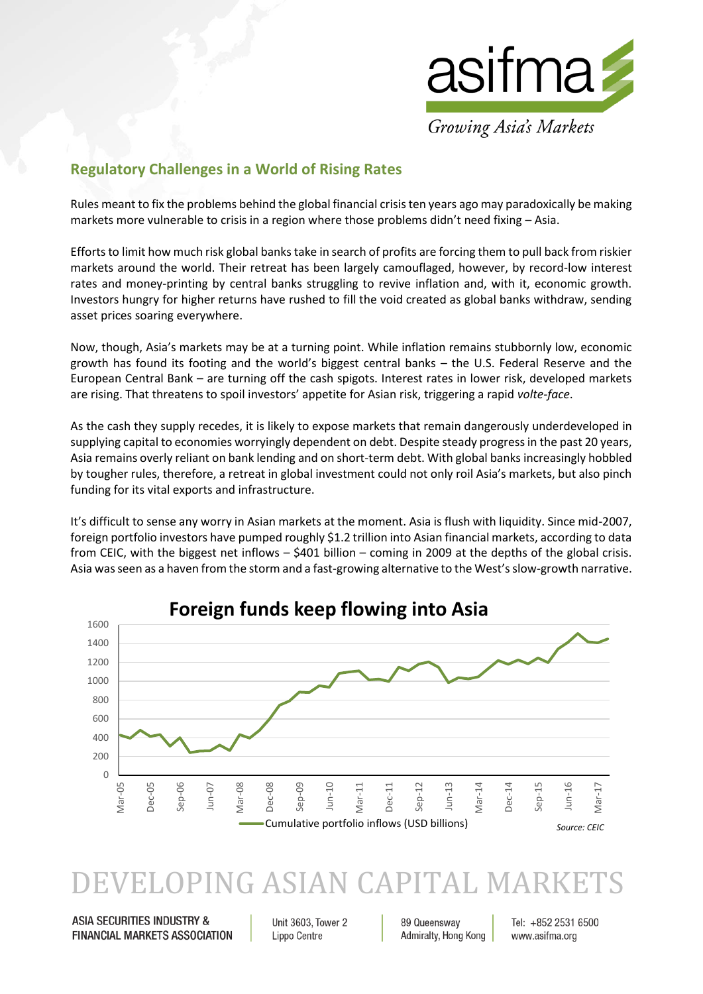

## **Regulatory Challenges in a World of Rising Rates**

Rules meant to fix the problems behind the global financial crisis ten years ago may paradoxically be making markets more vulnerable to crisis in a region where those problems didn't need fixing – Asia.

Efforts to limit how much risk global banks take in search of profits are forcing them to pull back from riskier markets around the world. Their retreat has been largely camouflaged, however, by record-low interest rates and money-printing by central banks struggling to revive inflation and, with it, economic growth. Investors hungry for higher returns have rushed to fill the void created as global banks withdraw, sending asset prices soaring everywhere.

Now, though, Asia's markets may be at a turning point. While inflation remains stubbornly low, economic growth has found its footing and the world's biggest central banks – the U.S. Federal Reserve and the European Central Bank – are turning off the cash spigots. Interest rates in lower risk, developed markets are rising. That threatens to spoil investors' appetite for Asian risk, triggering a rapid *volte-face*.

As the cash they supply recedes, it is likely to expose markets that remain dangerously underdeveloped in supplying capital to economies worryingly dependent on debt. Despite steady progress in the past 20 years, Asia remains overly reliant on bank lending and on short-term debt. With global banks increasingly hobbled by tougher rules, therefore, a retreat in global investment could not only roil Asia's markets, but also pinch funding for its vital exports and infrastructure.

It's difficult to sense any worry in Asian markets at the moment. Asia is flush with liquidity. Since mid-2007, foreign portfolio investors have pumped roughly \$1.2 trillion into Asian financial markets, according to data from CEIC, with the biggest net inflows – \$401 billion – coming in 2009 at the depths of the global crisis. Asia was seen as a haven from the storm and a fast-growing alternative to the West's slow-growth narrative.



## VELOPING ASIAN CAPITAL MARI

**ASIA SECURITIES INDUSTRY & FINANCIAL MARKETS ASSOCIATION** 

Unit 3603, Tower 2 Lippo Centre

89 Queensway Admiralty, Hong Kong Tel: +852 2531 6500 www.asifma.org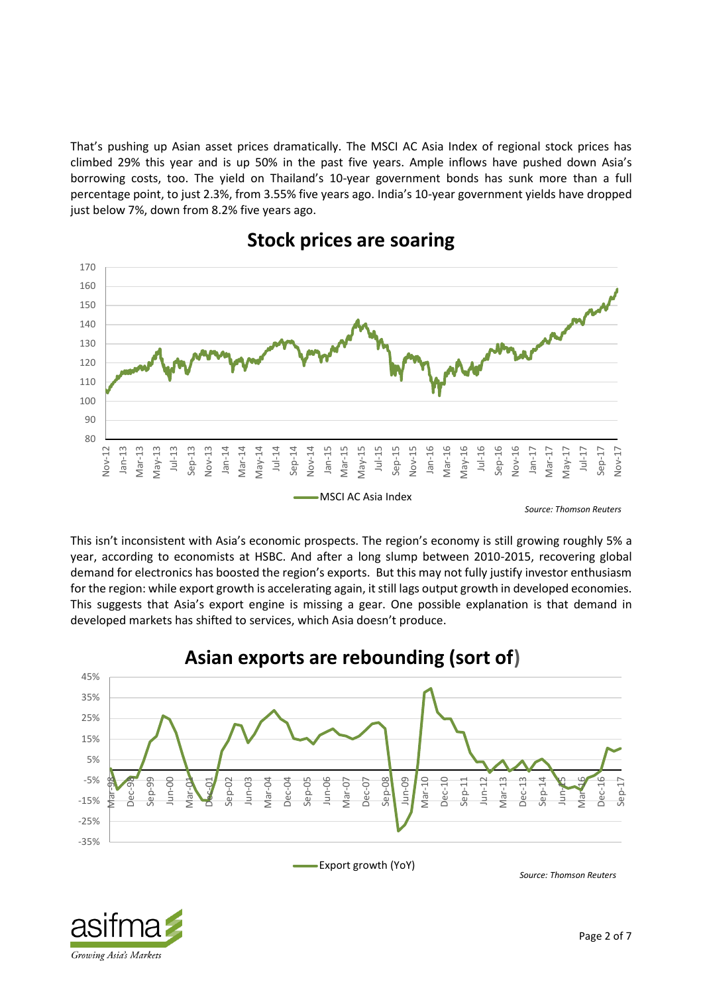That's pushing up Asian asset prices dramatically. The MSCI AC Asia Index of regional stock prices has climbed 29% this year and is up 50% in the past five years. Ample inflows have pushed down Asia's borrowing costs, too. The yield on Thailand's 10-year government bonds has sunk more than a full percentage point, to just 2.3%, from 3.55% five years ago. India's 10-year government yields have dropped just below 7%, down from 8.2% five years ago.



## **Stock prices are soaring**

This isn't inconsistent with Asia's economic prospects. The region's economy is still growing roughly 5% a year, according to economists at HSBC. And after a long slump between 2010-2015, recovering global demand for electronics has boosted the region's exports. But this may not fully justify investor enthusiasm for the region: while export growth is accelerating again, it still lags output growth in developed economies. This suggests that Asia's export engine is missing a gear. One possible explanation is that demand in developed markets has shifted to services, which Asia doesn't produce.



Growing Asia's Markets

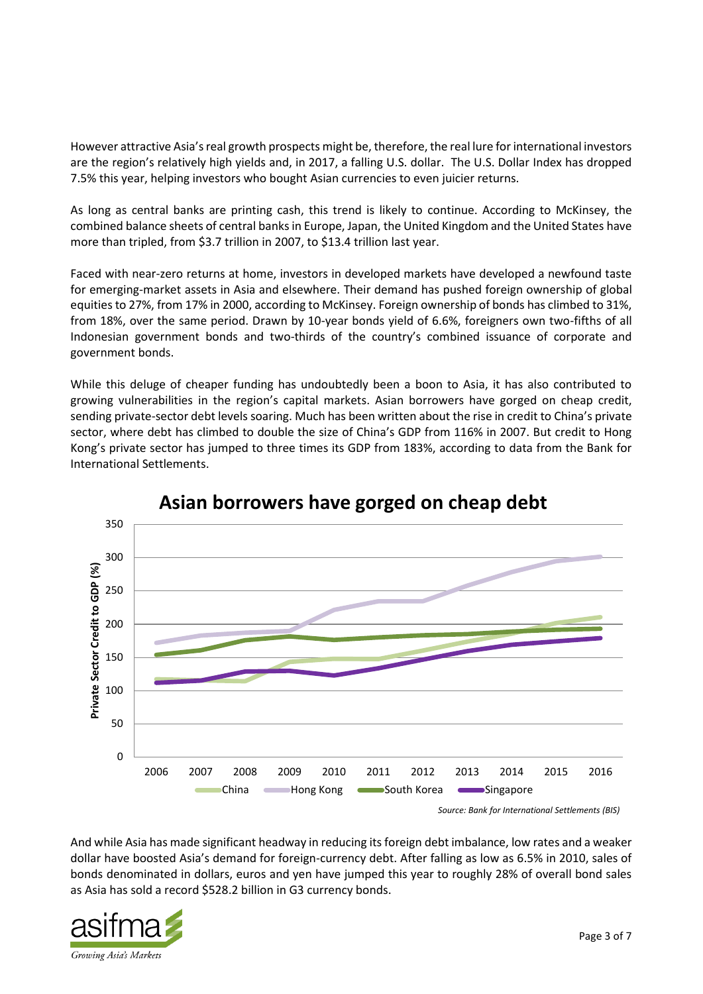However attractive Asia's real growth prospects might be, therefore, the real lure for international investors are the region's relatively high yields and, in 2017, a falling U.S. dollar. The U.S. Dollar Index has dropped 7.5% this year, helping investors who bought Asian currencies to even juicier returns.

As long as central banks are printing cash, this trend is likely to continue. According to McKinsey, the combined balance sheets of central banks in Europe, Japan, the United Kingdom and the United States have more than tripled, from \$3.7 trillion in 2007, to \$13.4 trillion last year.

Faced with near-zero returns at home, investors in developed markets have developed a newfound taste for emerging-market assets in Asia and elsewhere. Their demand has pushed foreign ownership of global equities to 27%, from 17% in 2000, according to McKinsey. Foreign ownership of bonds has climbed to 31%, from 18%, over the same period. Drawn by 10-year bonds yield of 6.6%, foreigners own two-fifths of all Indonesian government bonds and two-thirds of the country's combined issuance of corporate and government bonds.

While this deluge of cheaper funding has undoubtedly been a boon to Asia, it has also contributed to growing vulnerabilities in the region's capital markets. Asian borrowers have gorged on cheap credit, sending private-sector debt levels soaring. Much has been written about the rise in credit to China's private sector, where debt has climbed to double the size of China's GDP from 116% in 2007. But credit to Hong Kong's private sector has jumped to three times its GDP from 183%, according to data from the Bank for International Settlements.



## **Asian borrowers have gorged on cheap debt**

*Source: Bank for International Settlements (BIS)*

And while Asia has made significant headway in reducing its foreign debt imbalance, low rates and a weaker dollar have boosted Asia's demand for foreign-currency debt. After falling as low as 6.5% in 2010, sales of bonds denominated in dollars, euros and yen have jumped this year to roughly 28% of overall bond sales as Asia has sold a record \$528.2 billion in G3 currency bonds.

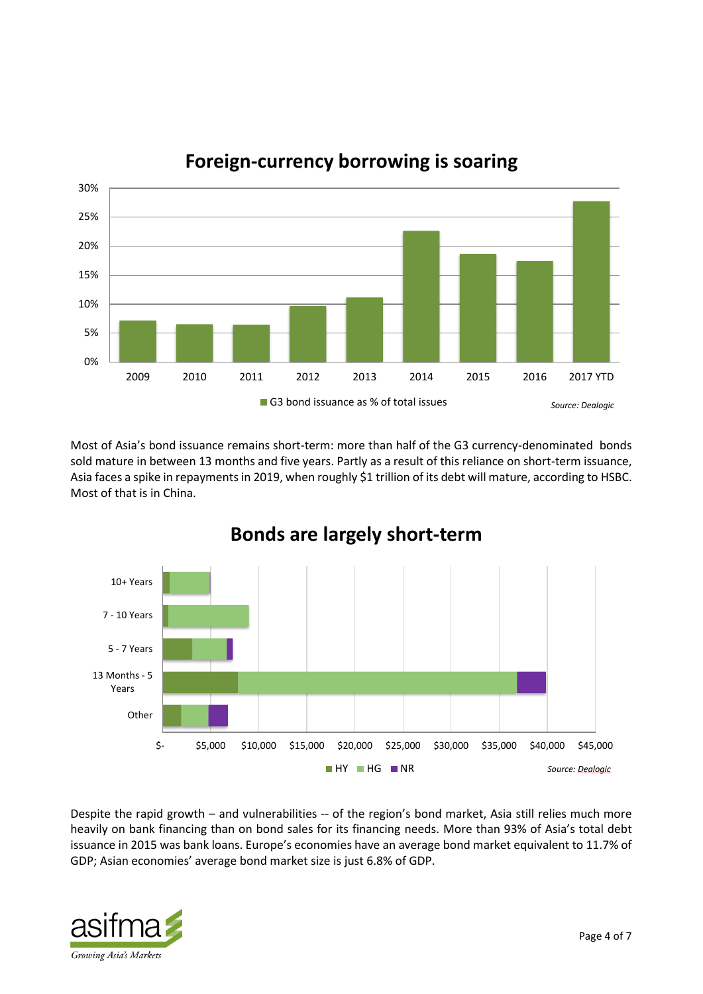

**Foreign-currency borrowing is soaring**

Most of Asia's bond issuance remains short-term: more than half of the G3 currency-denominated bonds sold mature in between 13 months and five years. Partly as a result of this reliance on short-term issuance, Asia faces a spike in repayments in 2019, when roughly \$1 trillion of its debt will mature, according to HSBC. Most of that is in China.



**Bonds are largely short-term**

Despite the rapid growth – and vulnerabilities -- of the region's bond market, Asia still relies much more heavily on bank financing than on bond sales for its financing needs. More than 93% of Asia's total debt issuance in 2015 was bank loans. Europe's economies have an average bond market equivalent to 11.7% of GDP; Asian economies' average bond market size is just 6.8% of GDP.

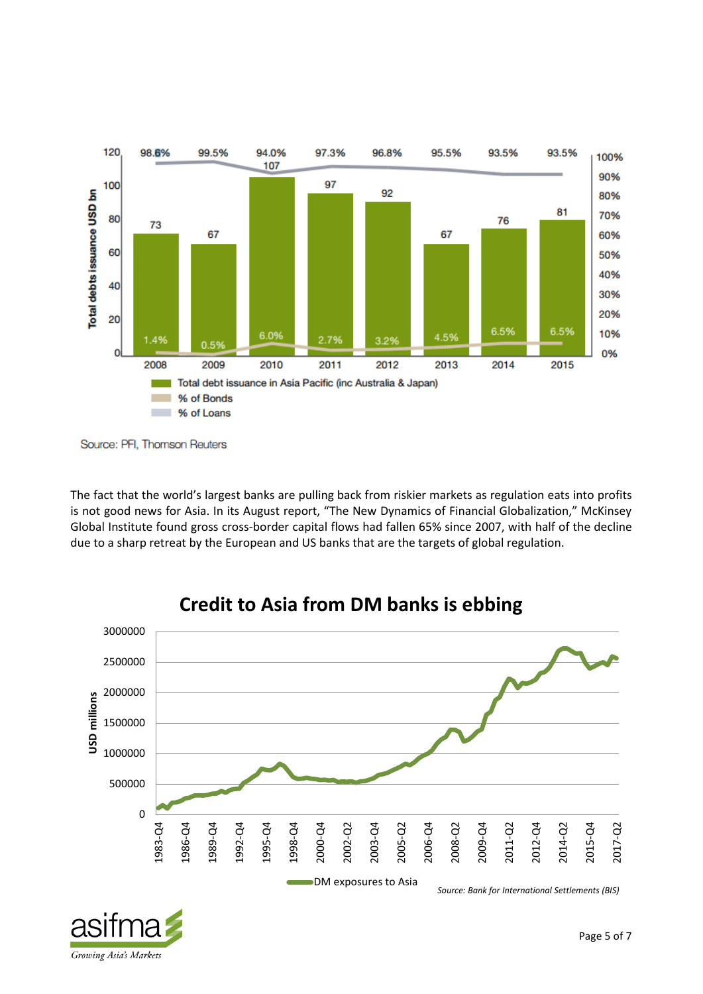

Source: PFI, Thomson Reuters

The fact that the world's largest banks are pulling back from riskier markets as regulation eats into profits is not good news for Asia. In its August report, "The New Dynamics of Financial Globalization," McKinsey Global Institute found gross cross-border capital flows had fallen 65% since 2007, with half of the decline due to a sharp retreat by the European and US banks that are the targets of global regulation.





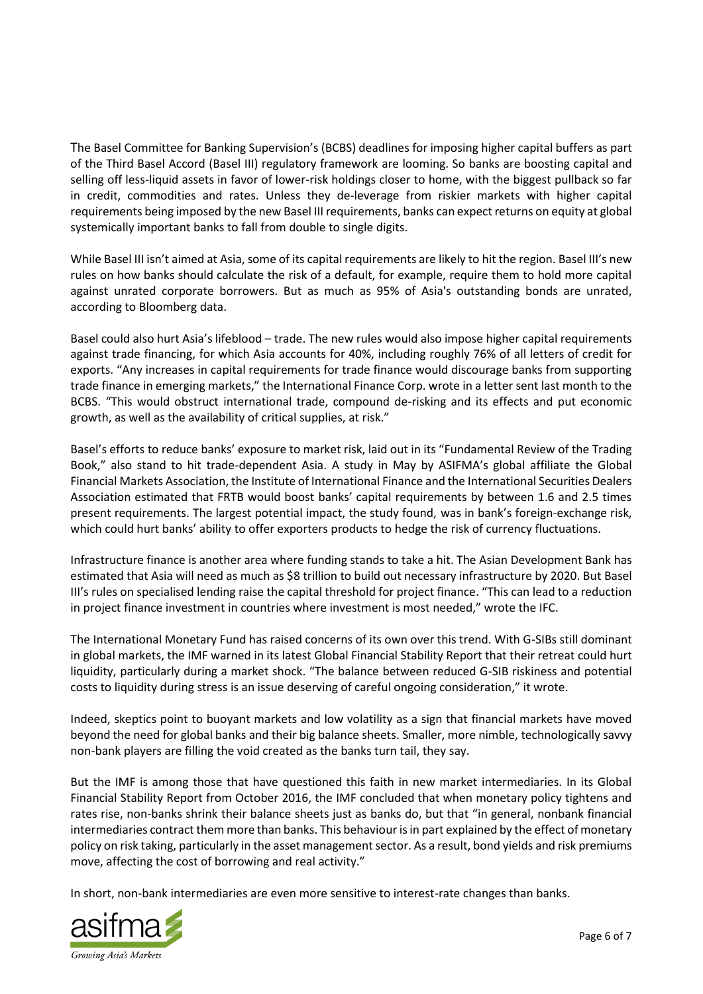The Basel Committee for Banking Supervision's (BCBS) deadlines for imposing higher capital buffers as part of the Third Basel Accord (Basel III) regulatory framework are looming. So banks are boosting capital and selling off less-liquid assets in favor of lower-risk holdings closer to home, with the biggest pullback so far in credit, commodities and rates. Unless they de-leverage from riskier markets with higher capital requirements being imposed by the new Basel III requirements, banks can expect returns on equity at global systemically important banks to fall from double to single digits.

While Basel III isn't aimed at Asia, some of its capital requirements are likely to hit the region. Basel III's new rules on how banks should calculate the risk of a default, for example, require them to hold more capital against unrated corporate borrowers. But as much as 95% of Asia's outstanding bonds are unrated, according to Bloomberg data.

Basel could also hurt Asia's lifeblood – trade. The new rules would also impose higher capital requirements against trade financing, for which Asia accounts for 40%, including roughly 76% of all letters of credit for exports. "Any increases in capital requirements for trade finance would discourage banks from supporting trade finance in emerging markets," the International Finance Corp. wrote in a letter sent last month to the BCBS. "This would obstruct international trade, compound de-risking and its effects and put economic growth, as well as the availability of critical supplies, at risk."

Basel's efforts to reduce banks' exposure to market risk, laid out in its "Fundamental Review of the Trading Book," also stand to hit trade-dependent Asia. A study in May by ASIFMA's global affiliate the Global Financial Markets Association, the Institute of International Finance and the International Securities Dealers Association estimated that FRTB would boost banks' capital requirements by between 1.6 and 2.5 times present requirements. The largest potential impact, the study found, was in bank's foreign-exchange risk, which could hurt banks' ability to offer exporters products to hedge the risk of currency fluctuations.

Infrastructure finance is another area where funding stands to take a hit. The Asian Development Bank has estimated that Asia will need as much as \$8 trillion to build out necessary infrastructure by 2020. But Basel III's rules on specialised lending raise the capital threshold for project finance. "This can lead to a reduction in project finance investment in countries where investment is most needed," wrote the IFC.

The International Monetary Fund has raised concerns of its own over this trend. With G-SIBs still dominant in global markets, the IMF warned in its latest Global Financial Stability Report that their retreat could hurt liquidity, particularly during a market shock. "The balance between reduced G-SIB riskiness and potential costs to liquidity during stress is an issue deserving of careful ongoing consideration," it wrote.

Indeed, skeptics point to buoyant markets and low volatility as a sign that financial markets have moved beyond the need for global banks and their big balance sheets. Smaller, more nimble, technologically savvy non-bank players are filling the void created as the banks turn tail, they say.

But the IMF is among those that have questioned this faith in new market intermediaries. In its Global Financial Stability Report from October 2016, the IMF concluded that when monetary policy tightens and rates rise, non-banks shrink their balance sheets just as banks do, but that "in general, nonbank financial intermediaries contract them more than banks. This behaviour is in part explained by the effect of monetary policy on risk taking, particularly in the asset management sector. As a result, bond yields and risk premiums move, affecting the cost of borrowing and real activity."

In short, non-bank intermediaries are even more sensitive to interest-rate changes than banks.